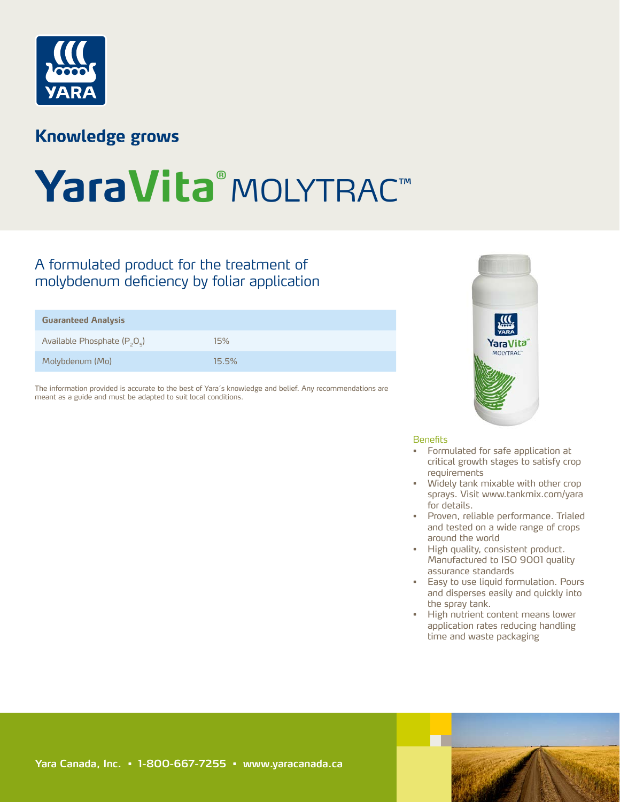

## **Knowledge grows**

# **YaraVita®** MOLYTRAC™

### A formulated product for the treatment of molybdenum deficiency by foliar application

| <b>Guaranteed Analysis</b>     |       |
|--------------------------------|-------|
| Available Phosphate $(P_2O_5)$ | 15%   |
| Molybdenum (Mo)                | 15.5% |

The information provided is accurate to the best of Yara´s knowledge and belief. Any recommendations are meant as a guide and must be adapted to suit local conditions.



#### **Benefits**

- Formulated for safe application at critical growth stages to satisfy crop requirements
- Widely tank mixable with other crop sprays. Visit www.tankmix.com/yara for details.
- Proven, reliable performance. Trialed and tested on a wide range of crops around the world
- High quality, consistent product. Manufactured to ISO 9001 quality assurance standards
- Easy to use liquid formulation. Pours and disperses easily and quickly into the spray tank.
- High nutrient content means lower application rates reducing handling time and waste packaging